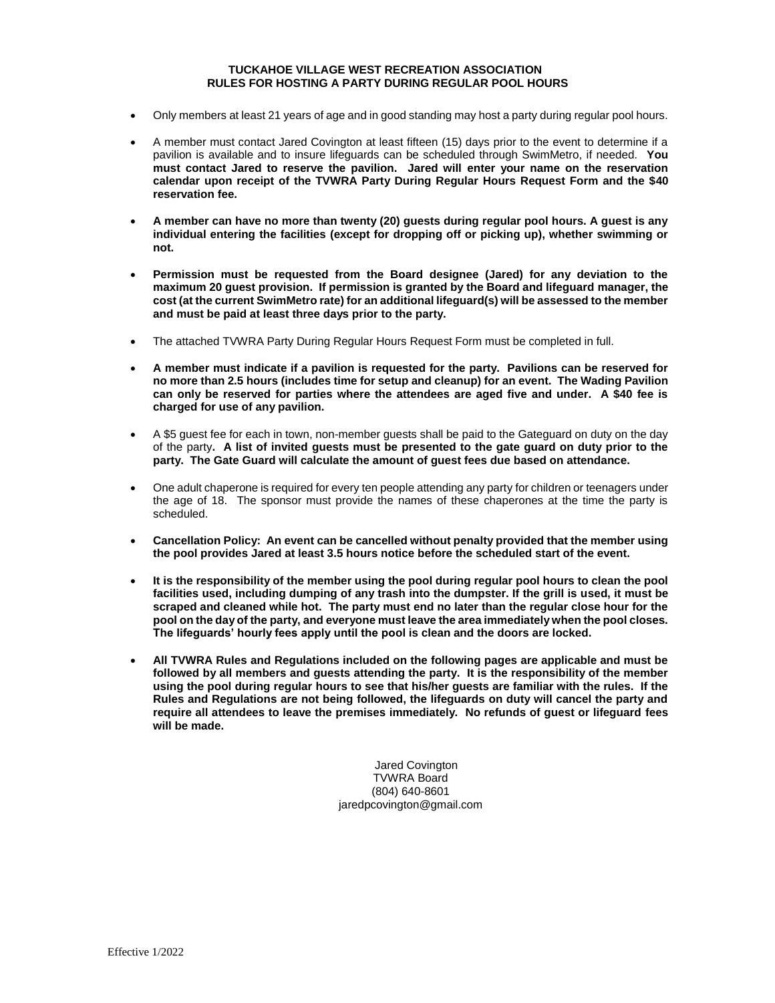# **TUCKAHOE VILLAGE WEST RECREATION ASSOCIATION RULES FOR HOSTING A PARTY DURING REGULAR POOL HOURS**

- Only members at least 21 years of age and in good standing may host a party during regular pool hours.
- A member must contact Jared Covington at least fifteen (15) days prior to the event to determine if a pavilion is available and to insure lifeguards can be scheduled through SwimMetro, if needed. **You must contact Jared to reserve the pavilion. Jared will enter your name on the reservation calendar upon receipt of the TVWRA Party During Regular Hours Request Form and the \$40 reservation fee.**
- **A member can have no more than twenty (20) guests during regular pool hours. A guest is any individual entering the facilities (except for dropping off or picking up), whether swimming or not.**
- **Permission must be requested from the Board designee (Jared) for any deviation to the maximum 20 guest provision. If permission is granted by the Board and lifeguard manager, the cost (at the current SwimMetro rate) for an additional lifeguard(s) will be assessed to the member and must be paid at least three days prior to the party.**
- The attached TVWRA Party During Regular Hours Request Form must be completed in full.
- **A member must indicate if a pavilion is requested for the party. Pavilions can be reserved for no more than 2.5 hours (includes time for setup and cleanup) for an event. The Wading Pavilion can only be reserved for parties where the attendees are aged five and under. A \$40 fee is charged for use of any pavilion.**
- A \$5 guest fee for each in town, non-member guests shall be paid to the Gateguard on duty on the day of the party**. A list of invited guests must be presented to the gate guard on duty prior to the party. The Gate Guard will calculate the amount of guest fees due based on attendance.**
- One adult chaperone is required for every ten people attending any party for children or teenagers under the age of 18. The sponsor must provide the names of these chaperones at the time the party is scheduled.
- **Cancellation Policy: An event can be cancelled without penalty provided that the member using the pool provides Jared at least 3.5 hours notice before the scheduled start of the event.**
- **It is the responsibility of the member using the pool during regular pool hours to clean the pool facilities used, including dumping of any trash into the dumpster. If the grill is used, it must be scraped and cleaned while hot. The party must end no later than the regular close hour for the pool on the day of the party, and everyone must leave the area immediately when the pool closes. The lifeguards' hourly fees apply until the pool is clean and the doors are locked.**
- **All TVWRA Rules and Regulations included on the following pages are applicable and must be followed by all members and guests attending the party. It is the responsibility of the member using the pool during regular hours to see that his/her guests are familiar with the rules. If the Rules and Regulations are not being followed, the lifeguards on duty will cancel the party and require all attendees to leave the premises immediately. No refunds of guest or lifeguard fees will be made.**

Jared Covington TVWRA Board (804) 640-8601 jaredpcovington@gmail.com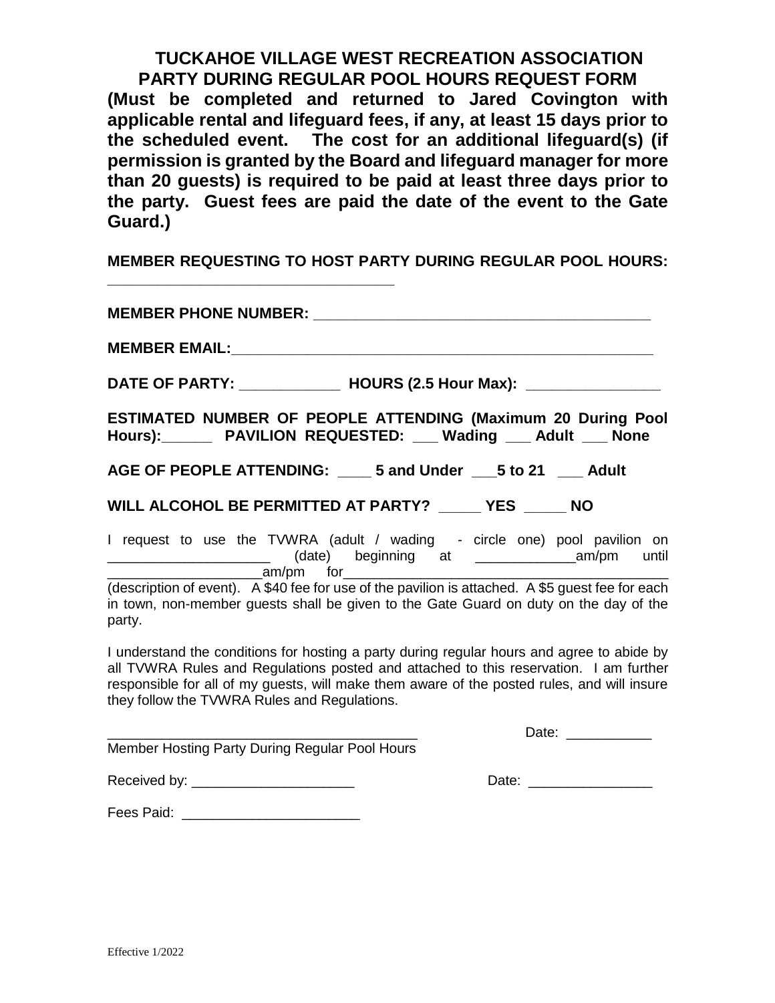**TUCKAHOE VILLAGE WEST RECREATION ASSOCIATION PARTY DURING REGULAR POOL HOURS REQUEST FORM (Must be completed and returned to Jared Covington with applicable rental and lifeguard fees, if any, at least 15 days prior to the scheduled event. The cost for an additional lifeguard(s) (if permission is granted by the Board and lifeguard manager for more than 20 guests) is required to be paid at least three days prior to the party. Guest fees are paid the date of the event to the Gate Guard.)** 

**MEMBER REQUESTING TO HOST PARTY DURING REGULAR POOL HOURS:** 

**\_\_\_\_\_\_\_\_\_\_\_\_\_\_\_\_\_\_\_\_\_\_\_\_\_\_\_\_\_\_\_\_\_\_**

| <b>MEMBER PHONE NUMBER:</b>                                                                                                                                                                                                                                                                                                        |  |
|------------------------------------------------------------------------------------------------------------------------------------------------------------------------------------------------------------------------------------------------------------------------------------------------------------------------------------|--|
|                                                                                                                                                                                                                                                                                                                                    |  |
| DATE OF PARTY: _________________ HOURS (2.5 Hour Max): __________________                                                                                                                                                                                                                                                          |  |
| ESTIMATED NUMBER OF PEOPLE ATTENDING (Maximum 20 During Pool<br>Hours): PAVILION REQUESTED: Mading Adult _ None                                                                                                                                                                                                                    |  |
| AGE OF PEOPLE ATTENDING: ____ 5 and Under ___ 5 to 21 ___ Adult                                                                                                                                                                                                                                                                    |  |
| WILL ALCOHOL BE PERMITTED AT PARTY? _____ YES _____ NO                                                                                                                                                                                                                                                                             |  |
| I request to use the TVWRA (adult / wading - circle one) pool pavilion on<br>____________________________(date) beginning at _________________________________ until                                                                                                                                                               |  |
| am/pm for<br>(description of event). A \$40 fee for use of the pavilion is attached. A \$5 guest fee for each<br>in town, non-member guests shall be given to the Gate Guard on duty on the day of the<br>party.                                                                                                                   |  |
| I understand the conditions for hosting a party during regular hours and agree to abide by<br>all TVWRA Rules and Regulations posted and attached to this reservation. I am further<br>responsible for all of my guests, will make them aware of the posted rules, and will insure<br>they follow the TVWRA Rules and Regulations. |  |
|                                                                                                                                                                                                                                                                                                                                    |  |
| Member Hosting Party During Regular Pool Hours                                                                                                                                                                                                                                                                                     |  |
| Received by: ________________________                                                                                                                                                                                                                                                                                              |  |
| Fees Paid:                                                                                                                                                                                                                                                                                                                         |  |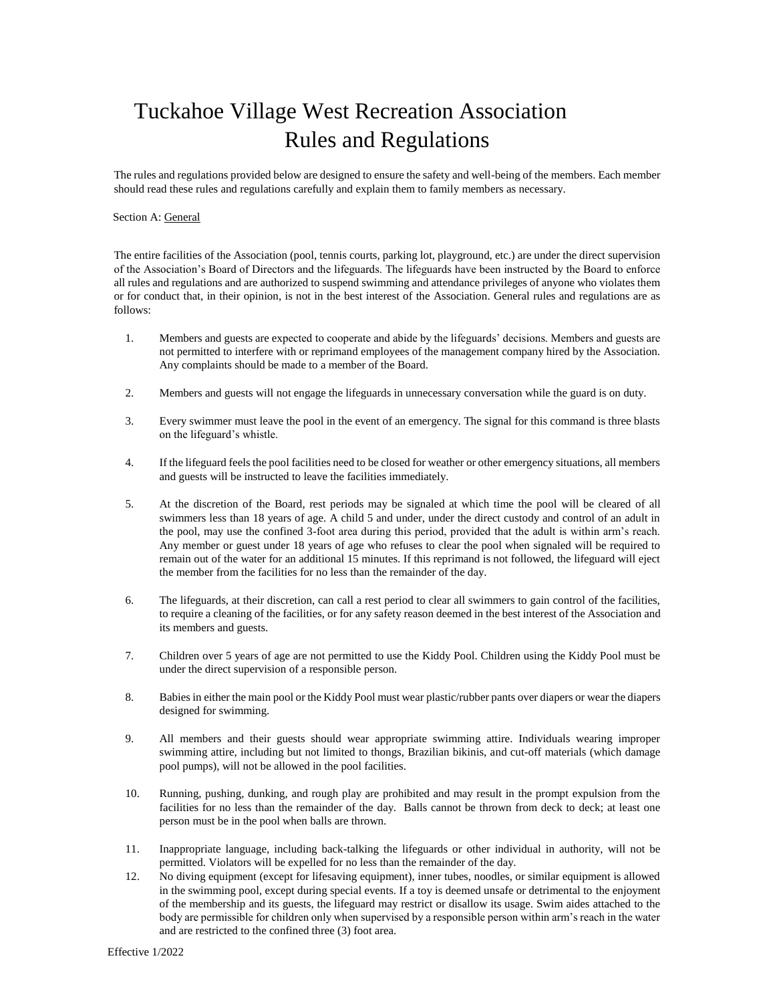# Tuckahoe Village West Recreation Association Rules and Regulations

The rules and regulations provided below are designed to ensure the safety and well-being of the members. Each member should read these rules and regulations carefully and explain them to family members as necessary.

#### Section A: General

The entire facilities of the Association (pool, tennis courts, parking lot, playground, etc.) are under the direct supervision of the Association's Board of Directors and the lifeguards. The lifeguards have been instructed by the Board to enforce all rules and regulations and are authorized to suspend swimming and attendance privileges of anyone who violates them or for conduct that, in their opinion, is not in the best interest of the Association. General rules and regulations are as follows:

- 1. Members and guests are expected to cooperate and abide by the lifeguards' decisions. Members and guests are not permitted to interfere with or reprimand employees of the management company hired by the Association. Any complaints should be made to a member of the Board.
- 2. Members and guests will not engage the lifeguards in unnecessary conversation while the guard is on duty.
- 3. Every swimmer must leave the pool in the event of an emergency. The signal for this command is three blasts on the lifeguard's whistle.
- 4. If the lifeguard feels the pool facilities need to be closed for weather or other emergency situations, all members and guests will be instructed to leave the facilities immediately.
- 5. At the discretion of the Board, rest periods may be signaled at which time the pool will be cleared of all swimmers less than 18 years of age. A child 5 and under, under the direct custody and control of an adult in the pool, may use the confined 3-foot area during this period, provided that the adult is within arm's reach. Any member or guest under 18 years of age who refuses to clear the pool when signaled will be required to remain out of the water for an additional 15 minutes. If this reprimand is not followed, the lifeguard will eject the member from the facilities for no less than the remainder of the day.
- 6. The lifeguards, at their discretion, can call a rest period to clear all swimmers to gain control of the facilities, to require a cleaning of the facilities, or for any safety reason deemed in the best interest of the Association and its members and guests.
- 7. Children over 5 years of age are not permitted to use the Kiddy Pool. Children using the Kiddy Pool must be under the direct supervision of a responsible person.
- 8. Babies in either the main pool or the Kiddy Pool must wear plastic/rubber pants over diapers or wear the diapers designed for swimming.
- 9. All members and their guests should wear appropriate swimming attire. Individuals wearing improper swimming attire, including but not limited to thongs, Brazilian bikinis, and cut-off materials (which damage pool pumps), will not be allowed in the pool facilities.
- 10. Running, pushing, dunking, and rough play are prohibited and may result in the prompt expulsion from the facilities for no less than the remainder of the day. Balls cannot be thrown from deck to deck; at least one person must be in the pool when balls are thrown.
- 11. Inappropriate language, including back-talking the lifeguards or other individual in authority, will not be permitted. Violators will be expelled for no less than the remainder of the day.
- 12. No diving equipment (except for lifesaving equipment), inner tubes, noodles, or similar equipment is allowed in the swimming pool, except during special events. If a toy is deemed unsafe or detrimental to the enjoyment of the membership and its guests, the lifeguard may restrict or disallow its usage. Swim aides attached to the body are permissible for children only when supervised by a responsible person within arm's reach in the water and are restricted to the confined three (3) foot area.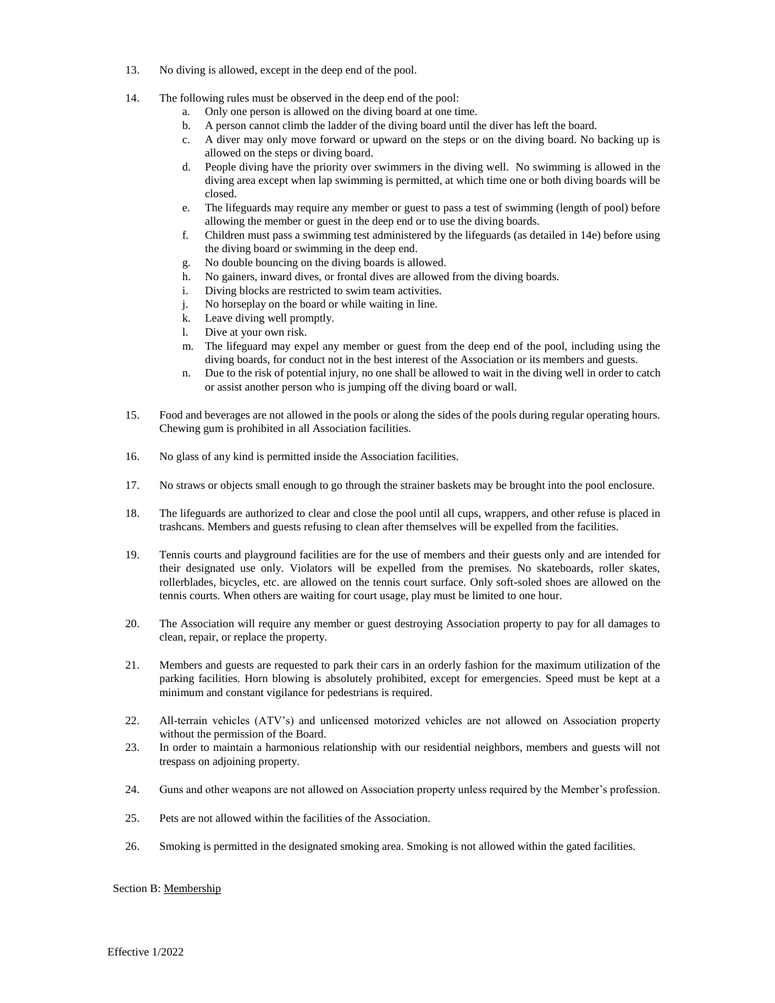- 13. No diving is allowed, except in the deep end of the pool.
- 14. The following rules must be observed in the deep end of the pool:
	- a. Only one person is allowed on the diving board at one time.
	- b. A person cannot climb the ladder of the diving board until the diver has left the board.
	- c. A diver may only move forward or upward on the steps or on the diving board. No backing up is allowed on the steps or diving board.
	- d. People diving have the priority over swimmers in the diving well. No swimming is allowed in the diving area except when lap swimming is permitted, at which time one or both diving boards will be closed.
	- e. The lifeguards may require any member or guest to pass a test of swimming (length of pool) before allowing the member or guest in the deep end or to use the diving boards.
	- f. Children must pass a swimming test administered by the lifeguards (as detailed in 14e) before using the diving board or swimming in the deep end.
	- g. No double bouncing on the diving boards is allowed.
	- h. No gainers, inward dives, or frontal dives are allowed from the diving boards.
	- i. Diving blocks are restricted to swim team activities.
	- j. No horseplay on the board or while waiting in line.
	- k. Leave diving well promptly.
	- l. Dive at your own risk.
	- m. The lifeguard may expel any member or guest from the deep end of the pool, including using the diving boards, for conduct not in the best interest of the Association or its members and guests.
	- n. Due to the risk of potential injury, no one shall be allowed to wait in the diving well in order to catch or assist another person who is jumping off the diving board or wall.
- 15. Food and beverages are not allowed in the pools or along the sides of the pools during regular operating hours. Chewing gum is prohibited in all Association facilities.
- 16. No glass of any kind is permitted inside the Association facilities.
- 17. No straws or objects small enough to go through the strainer baskets may be brought into the pool enclosure.
- 18. The lifeguards are authorized to clear and close the pool until all cups, wrappers, and other refuse is placed in trashcans. Members and guests refusing to clean after themselves will be expelled from the facilities.
- 19. Tennis courts and playground facilities are for the use of members and their guests only and are intended for their designated use only. Violators will be expelled from the premises. No skateboards, roller skates, rollerblades, bicycles, etc. are allowed on the tennis court surface. Only soft-soled shoes are allowed on the tennis courts. When others are waiting for court usage, play must be limited to one hour.
- 20. The Association will require any member or guest destroying Association property to pay for all damages to clean, repair, or replace the property.
- 21. Members and guests are requested to park their cars in an orderly fashion for the maximum utilization of the parking facilities. Horn blowing is absolutely prohibited, except for emergencies. Speed must be kept at a minimum and constant vigilance for pedestrians is required.
- 22. All-terrain vehicles (ATV's) and unlicensed motorized vehicles are not allowed on Association property without the permission of the Board.
- 23. In order to maintain a harmonious relationship with our residential neighbors, members and guests will not trespass on adjoining property.
- 24. Guns and other weapons are not allowed on Association property unless required by the Member's profession.
- 25. Pets are not allowed within the facilities of the Association.
- 26. Smoking is permitted in the designated smoking area. Smoking is not allowed within the gated facilities.

#### Section B: Membership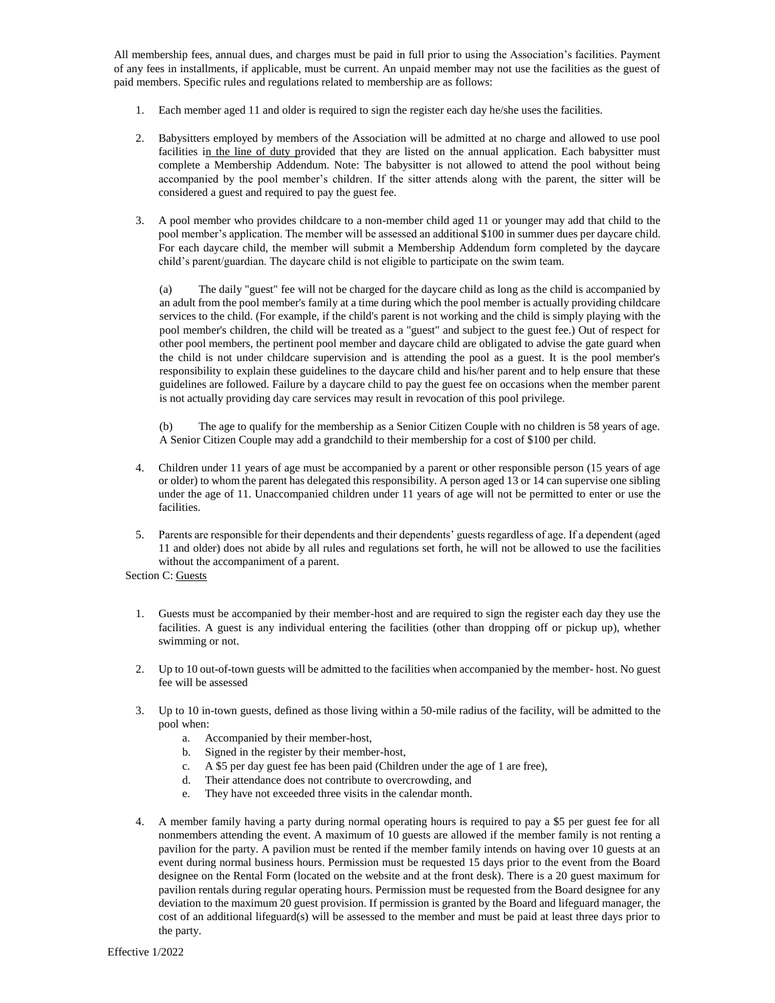All membership fees, annual dues, and charges must be paid in full prior to using the Association's facilities. Payment of any fees in installments, if applicable, must be current. An unpaid member may not use the facilities as the guest of paid members. Specific rules and regulations related to membership are as follows:

- 1. Each member aged 11 and older is required to sign the register each day he/she uses the facilities.
- 2. Babysitters employed by members of the Association will be admitted at no charge and allowed to use pool facilities in the line of duty provided that they are listed on the annual application. Each babysitter must complete a Membership Addendum. Note: The babysitter is not allowed to attend the pool without being accompanied by the pool member's children. If the sitter attends along with the parent, the sitter will be considered a guest and required to pay the guest fee.
- 3. A pool member who provides childcare to a non-member child aged 11 or younger may add that child to the pool member's application. The member will be assessed an additional \$100 in summer dues per daycare child. For each daycare child, the member will submit a Membership Addendum form completed by the daycare child's parent/guardian. The daycare child is not eligible to participate on the swim team.

(a) The daily "guest" fee will not be charged for the daycare child as long as the child is accompanied by an adult from the pool member's family at a time during which the pool member is actually providing childcare services to the child. (For example, if the child's parent is not working and the child is simply playing with the pool member's children, the child will be treated as a "guest" and subject to the guest fee.) Out of respect for other pool members, the pertinent pool member and daycare child are obligated to advise the gate guard when the child is not under childcare supervision and is attending the pool as a guest. It is the pool member's responsibility to explain these guidelines to the daycare child and his/her parent and to help ensure that these guidelines are followed. Failure by a daycare child to pay the guest fee on occasions when the member parent is not actually providing day care services may result in revocation of this pool privilege.

(b) The age to qualify for the membership as a Senior Citizen Couple with no children is 58 years of age. A Senior Citizen Couple may add a grandchild to their membership for a cost of \$100 per child.

- 4. Children under 11 years of age must be accompanied by a parent or other responsible person (15 years of age or older) to whom the parent has delegated this responsibility. A person aged 13 or 14 can supervise one sibling under the age of 11. Unaccompanied children under 11 years of age will not be permitted to enter or use the facilities.
- 5. Parents are responsible for their dependents and their dependents' guests regardless of age. If a dependent (aged 11 and older) does not abide by all rules and regulations set forth, he will not be allowed to use the facilities without the accompaniment of a parent.

# Section C: Guests

- 1. Guests must be accompanied by their member-host and are required to sign the register each day they use the facilities. A guest is any individual entering the facilities (other than dropping off or pickup up), whether swimming or not.
- 2. Up to 10 out-of-town guests will be admitted to the facilities when accompanied by the member- host. No guest fee will be assessed
- 3. Up to 10 in-town guests, defined as those living within a 50-mile radius of the facility, will be admitted to the pool when:
	- a. Accompanied by their member-host,
	- b. Signed in the register by their member-host,
	- c. A \$5 per day guest fee has been paid (Children under the age of 1 are free),
	- d. Their attendance does not contribute to overcrowding, and
	- e. They have not exceeded three visits in the calendar month.
- 4. A member family having a party during normal operating hours is required to pay a \$5 per guest fee for all nonmembers attending the event. A maximum of 10 guests are allowed if the member family is not renting a pavilion for the party. A pavilion must be rented if the member family intends on having over 10 guests at an event during normal business hours. Permission must be requested 15 days prior to the event from the Board designee on the Rental Form (located on the website and at the front desk). There is a 20 guest maximum for pavilion rentals during regular operating hours. Permission must be requested from the Board designee for any deviation to the maximum 20 guest provision. If permission is granted by the Board and lifeguard manager, the cost of an additional lifeguard(s) will be assessed to the member and must be paid at least three days prior to the party.